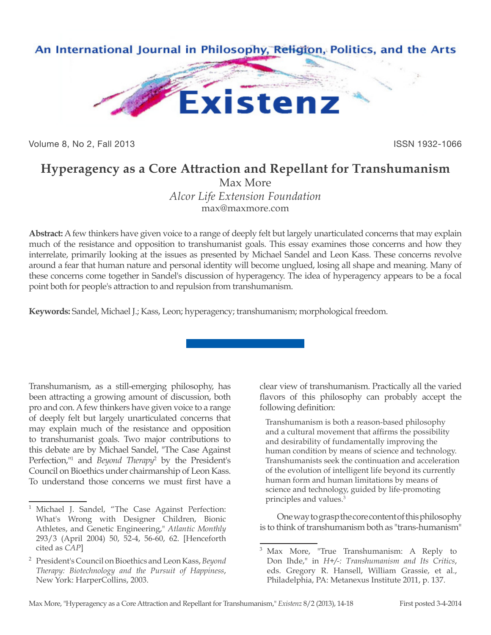

Volume 8, No 2, Fall 2013 **ISSN 1932-1066** 

## **Hyperagency as a Core Attraction and Repellant for Transhumanism**

Max More *Alcor Life Extension Foundation* max@maxmore.com

**Abstract:** A few thinkers have given voice to a range of deeply felt but largely unarticulated concerns that may explain much of the resistance and opposition to transhumanist goals. This essay examines those concerns and how they interrelate, primarily looking at the issues as presented by Michael Sandel and Leon Kass. These concerns revolve around a fear that human nature and personal identity will become unglued, losing all shape and meaning. Many of these concerns come together in Sandel's discussion of hyperagency. The idea of hyperagency appears to be a focal point both for people's attraction to and repulsion from transhumanism.

**Keywords:** Sandel, Michael J.; Kass, Leon; hyperagency; transhumanism; morphological freedom.

Transhumanism, as a still-emerging philosophy, has been attracting a growing amount of discussion, both pro and con. A few thinkers have given voice to a range of deeply felt but largely unarticulated concerns that may explain much of the resistance and opposition to transhumanist goals. Two major contributions to this debate are by Michael Sandel, "The Case Against Perfection,"<sup>1</sup> and *Beyond Therapy*<sup>2</sup> by the President's Council on Bioethics under chairmanship of Leon Kass. To understand those concerns we must first have a

clear view of transhumanism. Practically all the varied flavors of this philosophy can probably accept the following definition:

Transhumanism is both a reason-based philosophy and a cultural movement that affirms the possibility and desirability of fundamentally improving the human condition by means of science and technology. Transhumanists seek the continuation and acceleration of the evolution of intelligent life beyond its currently human form and human limitations by means of science and technology, guided by life-promoting principles and values.3

One way to grasp the core content of this philosophy is to think of transhumanism both as "trans-humanism"

Michael J. Sandel, "The Case Against Perfection: What's Wrong with Designer Children, Bionic Athletes, and Genetic Engineering," *Atlantic Monthly* 293/3 (April 2004) 50, 52-4, 56-60, 62. [Henceforth cited as *CAP*]

<sup>2</sup> President's Council on Bioethics and Leon Kass, *Beyond Therapy: Biotechnology and the Pursuit of Happiness*, New York: HarperCollins, 2003.

<sup>3</sup> Max More, "True Transhumanism: A Reply to Don Ihde," in *H+/-: Transhumanism and Its Critics*, eds. Gregory R. Hansell, William Grassie, et al., Philadelphia, PA: Metanexus Institute 2011, p. 137.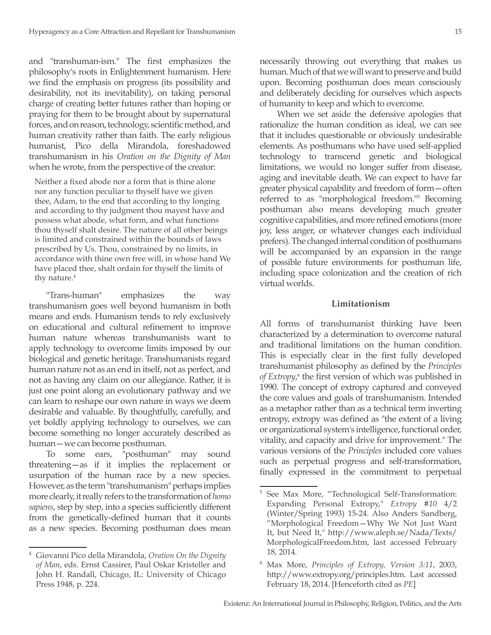and "transhuman-ism." The first emphasizes the philosophy's roots in Enlightenment humanism. Here we find the emphasis on progress (its possibility and desirability, not its inevitability), on taking personal charge of creating better futures rather than hoping or praying for them to be brought about by supernatural forces, and on reason, technology, scientific method, and human creativity rather than faith. The early religious humanist, Pico della Mirandola, foreshadowed transhumanism in his *Oration on the Dignity of Man*  when he wrote, from the perspective of the creator:

Neither a fixed abode nor a form that is thine alone nor any function peculiar to thyself have we given thee, Adam, to the end that according to thy longing and according to thy judgment thou mayest have and possess what abode, what form, and what functions thou thyself shalt desire. The nature of all other beings is limited and constrained within the bounds of laws prescribed by Us. Thou, constrained by no limits, in accordance with thine own free will, in whose hand We have placed thee, shalt ordain for thyself the limits of thy nature.<sup>4</sup>

"Trans-human" emphasizes the way transhumanism goes well beyond humanism in both means and ends. Humanism tends to rely exclusively on educational and cultural refinement to improve human nature whereas transhumanists want to apply technology to overcome limits imposed by our biological and genetic heritage. Transhumanists regard human nature not as an end in itself, not as perfect, and not as having any claim on our allegiance. Rather, it is just one point along an evolutionary pathway and we can learn to reshape our own nature in ways we deem desirable and valuable. By thoughtfully, carefully, and yet boldly applying technology to ourselves, we can become something no longer accurately described as human—we can become posthuman.

To some ears, "posthuman" may sound threatening—as if it implies the replacement or usurpation of the human race by a new species. However, as the term "transhumanism" perhaps implies more clearly, it really refers to the transformation of *homo sapiens*, step by step, into a species sufficiently different from the genetically-defined human that it counts as a new species. Becoming posthuman does mean

necessarily throwing out everything that makes us human. Much of that we will want to preserve and build upon. Becoming posthuman does mean consciously and deliberately deciding for ourselves which aspects of humanity to keep and which to overcome.

When we set aside the defensive apologies that rationalize the human condition as ideal, we can see that it includes questionable or obviously undesirable elements. As posthumans who have used self-applied technology to transcend genetic and biological limitations, we would no longer suffer from disease, aging and inevitable death. We can expect to have far greater physical capability and freedom of form—often referred to as "morphological freedom."<sup>5</sup> Becoming posthuman also means developing much greater cognitive capabilities, and more refined emotions (more joy, less anger, or whatever changes each individual prefers). The changed internal condition of posthumans will be accompanied by an expansion in the range of possible future environments for posthuman life, including space colonization and the creation of rich virtual worlds.

## **Limitationism**

All forms of transhumanist thinking have been characterized by a determination to overcome natural and traditional limitations on the human condition. This is especially clear in the first fully developed transhumanist philosophy as defined by the *Principles*  of Extropy,<sup>6</sup> the first version of which was published in 1990. The concept of extropy captured and conveyed the core values and goals of transhumanism. Intended as a metaphor rather than as a technical term inverting entropy, extropy was defined as "the extent of a living or organizational system's intelligence, functional order, vitality, and capacity and drive for improvement." The various versions of the *Principles* included core values such as perpetual progress and self-transformation, finally expressed in the commitment to perpetual

<sup>4</sup> Giovanni Pico della Mirandola, *Oration On the Dignity of Man*, eds. Ernst Cassirer, Paul Oskar Kristeller and John H. Randall, Chicago, IL: University of Chicago Press 1948, p. 224.

<sup>5</sup> See Max More, "Technological Self-Transformation: Expanding Personal Extropy," *Extropy #10* 4/2 (Winter/Spring 1993) 15-24. Also Anders Sandberg, "Morphological Freedom—Why We Not Just Want It, but Need It," http://www.aleph.se/Nada/Texts/ MorphologicalFreedom.htm, last accessed February 18, 2014.

<sup>6</sup> Max More, *Principles of Extropy, Version 3:11*, 2003, http://www.extropy.org/principles.htm. Last accessed February 18, 2014. [Henceforth cited as *PE*]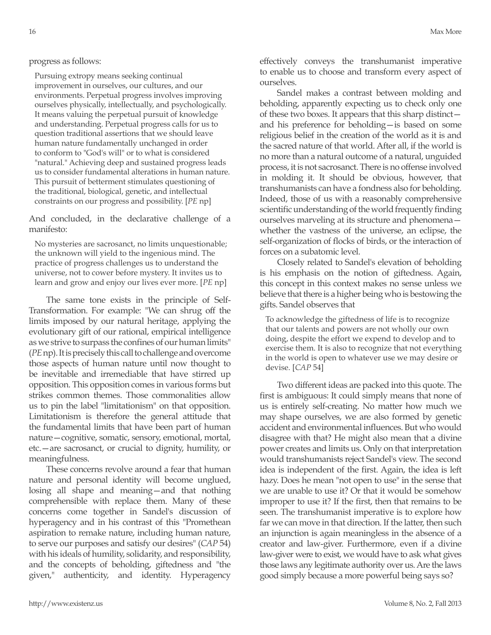## progress as follows:

Pursuing extropy means seeking continual improvement in ourselves, our cultures, and our environments. Perpetual progress involves improving ourselves physically, intellectually, and psychologically. It means valuing the perpetual pursuit of knowledge and understanding. Perpetual progress calls for us to question traditional assertions that we should leave human nature fundamentally unchanged in order to conform to "God's will" or to what is considered "natural." Achieving deep and sustained progress leads us to consider fundamental alterations in human nature. This pursuit of betterment stimulates questioning of the traditional, biological, genetic, and intellectual constraints on our progress and possibility. [*PE* np]

And concluded, in the declarative challenge of a manifesto:

No mysteries are sacrosanct, no limits unquestionable; the unknown will yield to the ingenious mind. The practice of progress challenges us to understand the universe, not to cower before mystery. It invites us to learn and grow and enjoy our lives ever more. [*PE* np]

The same tone exists in the principle of Self-Transformation. For example: "We can shrug off the limits imposed by our natural heritage, applying the evolutionary gift of our rational, empirical intelligence as we strive to surpass the confines of our human limits" (*PE* np). It is precisely this call to challenge and overcome those aspects of human nature until now thought to be inevitable and irremediable that have stirred up opposition. This opposition comes in various forms but strikes common themes. Those commonalities allow us to pin the label "limitationism" on that opposition. Limitationism is therefore the general attitude that the fundamental limits that have been part of human nature—cognitive, somatic, sensory, emotional, mortal, etc.—are sacrosanct, or crucial to dignity, humility, or meaningfulness.

These concerns revolve around a fear that human nature and personal identity will become unglued, losing all shape and meaning—and that nothing comprehensible with replace them. Many of these concerns come together in Sandel's discussion of hyperagency and in his contrast of this "Promethean aspiration to remake nature, including human nature, to serve our purposes and satisfy our desires" (*CAP* 54) with his ideals of humility, solidarity, and responsibility, and the concepts of beholding, giftedness and "the given," authenticity, and identity. Hyperagency

effectively conveys the transhumanist imperative to enable us to choose and transform every aspect of ourselves.

Sandel makes a contrast between molding and beholding, apparently expecting us to check only one of these two boxes. It appears that this sharp distinct and his preference for beholding—is based on some religious belief in the creation of the world as it is and the sacred nature of that world. After all, if the world is no more than a natural outcome of a natural, unguided process, it is not sacrosanct. There is no offense involved in molding it. It should be obvious, however, that transhumanists can have a fondness also for beholding. Indeed, those of us with a reasonably comprehensive scientific understanding of the world frequently finding ourselves marveling at its structure and phenomena whether the vastness of the universe, an eclipse, the self-organization of flocks of birds, or the interaction of forces on a subatomic level.

Closely related to Sandel's elevation of beholding is his emphasis on the notion of giftedness. Again, this concept in this context makes no sense unless we believe that there is a higher being who is bestowing the gifts. Sandel observes that

To acknowledge the giftedness of life is to recognize that our talents and powers are not wholly our own doing, despite the effort we expend to develop and to exercise them. It is also to recognize that not everything in the world is open to whatever use we may desire or devise. [*CAP* 54]

Two different ideas are packed into this quote. The first is ambiguous: It could simply means that none of us is entirely self-creating. No matter how much we may shape ourselves, we are also formed by genetic accident and environmental influences. But who would disagree with that? He might also mean that a divine power creates and limits us. Only on that interpretation would transhumanists reject Sandel's view. The second idea is independent of the first. Again, the idea is left hazy. Does he mean "not open to use" in the sense that we are unable to use it? Or that it would be somehow improper to use it? If the first, then that remains to be seen. The transhumanist imperative is to explore how far we can move in that direction. If the latter, then such an injunction is again meaningless in the absence of a creator and law-giver. Furthermore, even if a divine law-giver were to exist, we would have to ask what gives those laws any legitimate authority over us. Are the laws good simply because a more powerful being says so?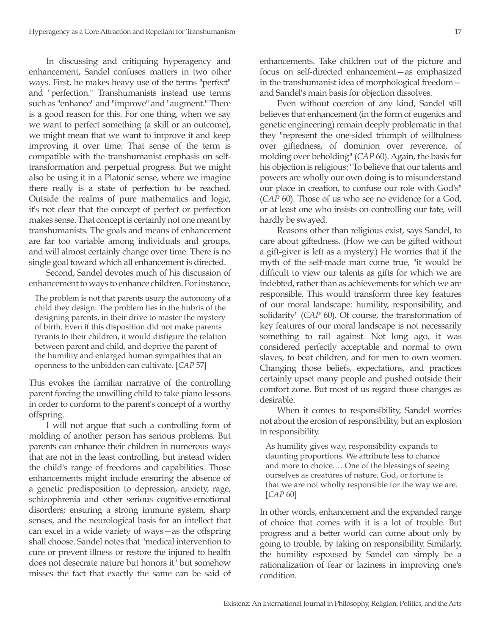In discussing and critiquing hyperagency and enhancement, Sandel confuses matters in two other ways. First, he makes heavy use of the terms "perfect" and "perfection." Transhumanists instead use terms such as "enhance" and "improve" and "augment." There is a good reason for this. For one thing, when we say we want to perfect something (a skill or an outcome), we might mean that we want to improve it and keep improving it over time. That sense of the term is compatible with the transhumanist emphasis on selftransformation and perpetual progress. But we might also be using it in a Platonic sense, where we imagine there really is a state of perfection to be reached. Outside the realms of pure mathematics and logic, it's not clear that the concept of perfect or perfection makes sense. That concept is certainly not one meant by transhumanists. The goals and means of enhancement are far too variable among individuals and groups, and will almost certainly change over time. There is no single goal toward which all enhancement is directed.

Second, Sandel devotes much of his discussion of enhancement to ways to enhance children. For instance,

The problem is not that parents usurp the autonomy of a child they design. The problem lies in the hubris of the designing parents, in their drive to master the mystery of birth. Even if this disposition did not make parents tyrants to their children, it would disfigure the relation between parent and child, and deprive the parent of the humility and enlarged human sympathies that an openness to the unbidden can cultivate. [*CAP* 57]

This evokes the familiar narrative of the controlling parent forcing the unwilling child to take piano lessons in order to conform to the parent's concept of a worthy offspring.

I will not argue that such a controlling form of molding of another person has serious problems. But parents can enhance their children in numerous ways that are not in the least controlling, but instead widen the child's range of freedoms and capabilities. Those enhancements might include ensuring the absence of a genetic predisposition to depression, anxiety, rage, schizophrenia and other serious cognitive-emotional disorders; ensuring a strong immune system, sharp senses, and the neurological basis for an intellect that can excel in a wide variety of ways—as the offspring shall choose. Sandel notes that "medical intervention to cure or prevent illness or restore the injured to health does not desecrate nature but honors it" but somehow misses the fact that exactly the same can be said of

enhancements. Take children out of the picture and focus on self-directed enhancement—as emphasized in the transhumanist idea of morphological freedom and Sandel's main basis for objection dissolves.

Even without coercion of any kind, Sandel still believes that enhancement (in the form of eugenics and genetic engineering) remain deeply problematic in that they "represent the one-sided triumph of willfulness over giftedness, of dominion over reverence, of molding over beholding" (*CAP* 60). Again, the basis for his objection is religious: "To believe that our talents and powers are wholly our own doing is to misunderstand our place in creation, to confuse our role with God's" (*CAP* 60). Those of us who see no evidence for a God, or at least one who insists on controlling our fate, will hardly be swayed.

Reasons other than religious exist, says Sandel, to care about giftedness. (How we can be gifted without a gift-giver is left as a mystery.) He worries that if the myth of the self-made man come true, "it would be difficult to view our talents as gifts for which we are indebted, rather than as achievements for which we are responsible. This would transform three key features of our moral landscape: humility, responsibility, and solidarity" (*CAP* 60). Of course, the transformation of key features of our moral landscape is not necessarily something to rail against. Not long ago, it was considered perfectly acceptable and normal to own slaves, to beat children, and for men to own women. Changing those beliefs, expectations, and practices certainly upset many people and pushed outside their comfort zone. But most of us regard those changes as desirable.

When it comes to responsibility, Sandel worries not about the erosion of responsibility, but an explosion in responsibility.

As humility gives way, responsibility expands to daunting proportions. We attribute less to chance and more to choice.… One of the blessings of seeing ourselves as creatures of nature, God, or fortune is that we are not wholly responsible for the way we are. [*CAP* 60]

In other words, enhancement and the expanded range of choice that comes with it is a lot of trouble. But progress and a better world can come about only by going to trouble, by taking on responsibility. Similarly, the humility espoused by Sandel can simply be a rationalization of fear or laziness in improving one's condition.